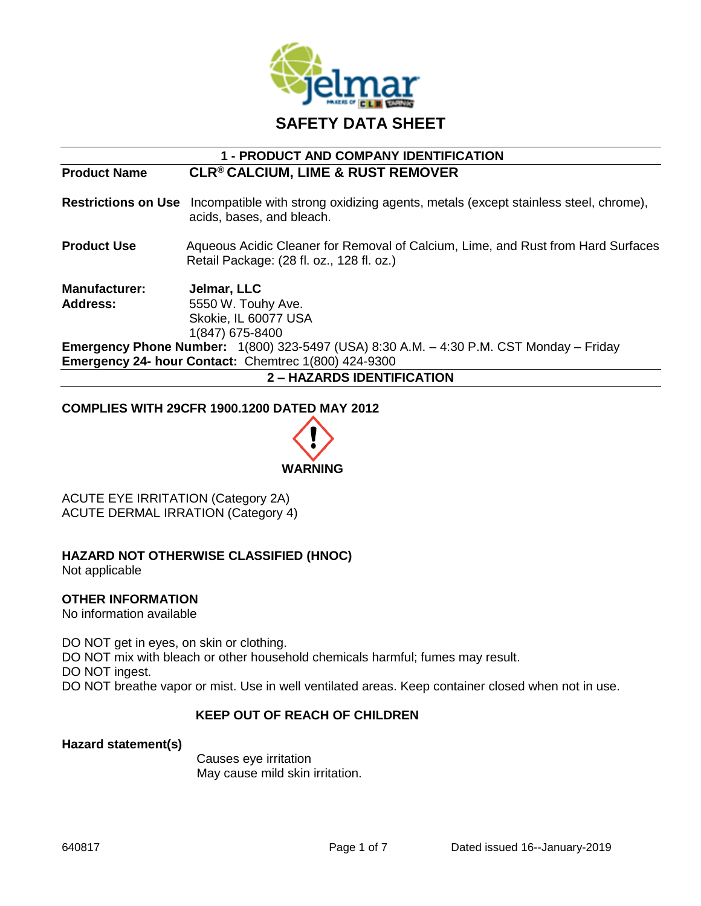

# **1 - PRODUCT AND COMPANY IDENTIFICATION**

**Product Name CLR® CALCIUM, LIME & RUST REMOVER**

**Restrictions on Use** Incompatible with strong oxidizing agents, metals (except stainless steel, chrome), acids, bases, and bleach.

**Product Use** Aqueous Acidic Cleaner for Removal of Calcium, Lime, and Rust from Hard Surfaces Retail Package: (28 fl. oz., 128 fl. oz.)

**Manufacturer: Jelmar, LLC Address:** 5550 W. Touhy Ave. Skokie, IL 60077 USA 1(847) 675-8400 **Emergency Phone Number:** 1(800) 323-5497 (USA) 8:30 A.M. – 4:30 P.M. CST Monday – Friday

**Emergency 24- hour Contact:** Chemtrec 1(800) 424-9300 **2 – HAZARDS IDENTIFICATION**

#### **COMPLIES WITH 29CFR 1900.1200 DATED MAY 2012**



ACUTE EYE IRRITATION (Category 2A) ACUTE DERMAL IRRATION (Category 4)

## **HAZARD NOT OTHERWISE CLASSIFIED (HNOC)**

Not applicable

## **OTHER INFORMATION**

No information available

DO NOT get in eyes, on skin or clothing. DO NOT mix with bleach or other household chemicals harmful; fumes may result. DO NOT ingest. DO NOT breathe vapor or mist. Use in well ventilated areas. Keep container closed when not in use.

## **KEEP OUT OF REACH OF CHILDREN**

**Hazard statement(s)**

Causes eye irritation May cause mild skin irritation.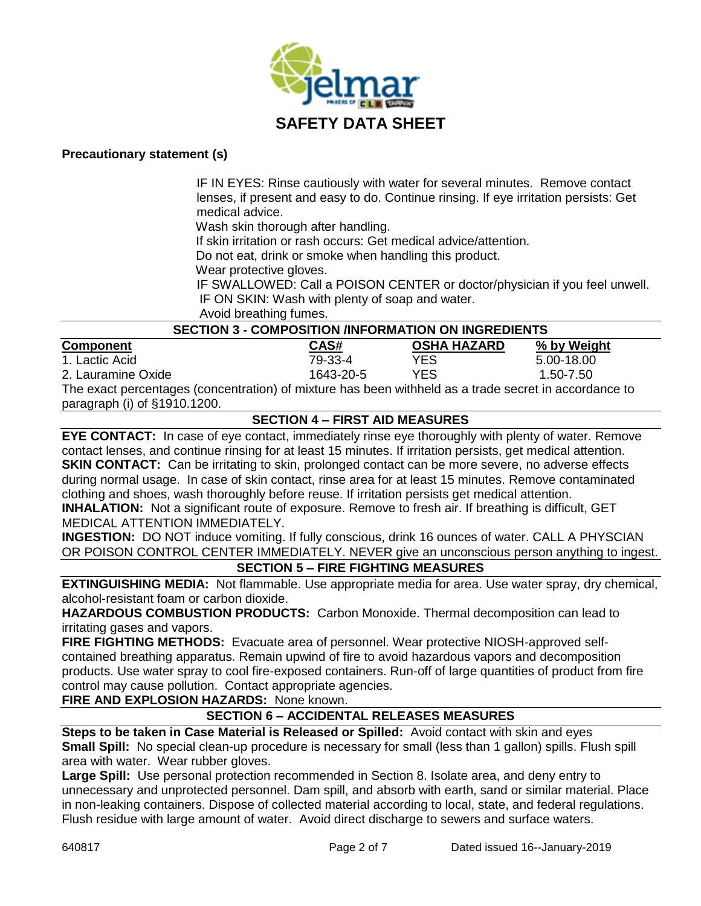

#### **Precautionary statement (s)**

IF IN EYES: Rinse cautiously with water for several minutes. Remove contact lenses, if present and easy to do. Continue rinsing. If eye irritation persists: Get medical advice.

Wash skin thorough after handling.

If skin irritation or rash occurs: Get medical advice/attention.

Do not eat, drink or smoke when handling this product.

Wear protective gloves.

 IF SWALLOWED: Call a POISON CENTER or doctor/physician if you feel unwell. IF ON SKIN: Wash with plenty of soap and water.

Avoid breathing fumes.

## **SECTION 3 - COMPOSITION /INFORMATION ON INGREDIENTS**

| <b>Component</b>                                                                                     | CAS#      | <b>OSHA HAZARD</b> | % by Weight |
|------------------------------------------------------------------------------------------------------|-----------|--------------------|-------------|
| 1. Lactic Acid                                                                                       | 79-33-4   | YES                | 5.00-18.00  |
| 2. Lauramine Oxide                                                                                   | 1643-20-5 | YES                | 1.50-7.50   |
| The exact perceptages (conceptration) of mixture has been withhold as a trade coerd in accordance to |           |                    |             |

The exact percentages (concentration) of mixture has been withheld as a trade secret in accordance to paragraph (i) of §1910.1200.

## **SECTION 4 – FIRST AID MEASURES**

**EYE CONTACT:** In case of eye contact, immediately rinse eye thoroughly with plenty of water. Remove contact lenses, and continue rinsing for at least 15 minutes. If irritation persists, get medical attention. **SKIN CONTACT:** Can be irritating to skin, prolonged contact can be more severe, no adverse effects during normal usage. In case of skin contact, rinse area for at least 15 minutes. Remove contaminated clothing and shoes, wash thoroughly before reuse. If irritation persists get medical attention.

**INHALATION:** Not a significant route of exposure. Remove to fresh air. If breathing is difficult, GET MEDICAL ATTENTION IMMEDIATELY.

**INGESTION:** DO NOT induce vomiting. If fully conscious, drink 16 ounces of water. CALL A PHYSCIAN OR POISON CONTROL CENTER IMMEDIATELY. NEVER give an unconscious person anything to ingest.

## **SECTION 5 – FIRE FIGHTING MEASURES**

**EXTINGUISHING MEDIA:** Not flammable. Use appropriate media for area. Use water spray, dry chemical, alcohol-resistant foam or carbon dioxide.

**HAZARDOUS COMBUSTION PRODUCTS:** Carbon Monoxide. Thermal decomposition can lead to irritating gases and vapors.

**FIRE FIGHTING METHODS:** Evacuate area of personnel. Wear protective NIOSH-approved selfcontained breathing apparatus. Remain upwind of fire to avoid hazardous vapors and decomposition products. Use water spray to cool fire-exposed containers. Run-off of large quantities of product from fire control may cause pollution. Contact appropriate agencies.

**FIRE AND EXPLOSION HAZARDS:** None known.

## **SECTION 6 – ACCIDENTAL RELEASES MEASURES**

**Steps to be taken in Case Material is Released or Spilled:** Avoid contact with skin and eyes **Small Spill:** No special clean-up procedure is necessary for small (less than 1 gallon) spills. Flush spill area with water. Wear rubber gloves.

**Large Spill:** Use personal protection recommended in Section 8. Isolate area, and deny entry to unnecessary and unprotected personnel. Dam spill, and absorb with earth, sand or similar material. Place in non-leaking containers. Dispose of collected material according to local, state, and federal regulations. Flush residue with large amount of water. Avoid direct discharge to sewers and surface waters.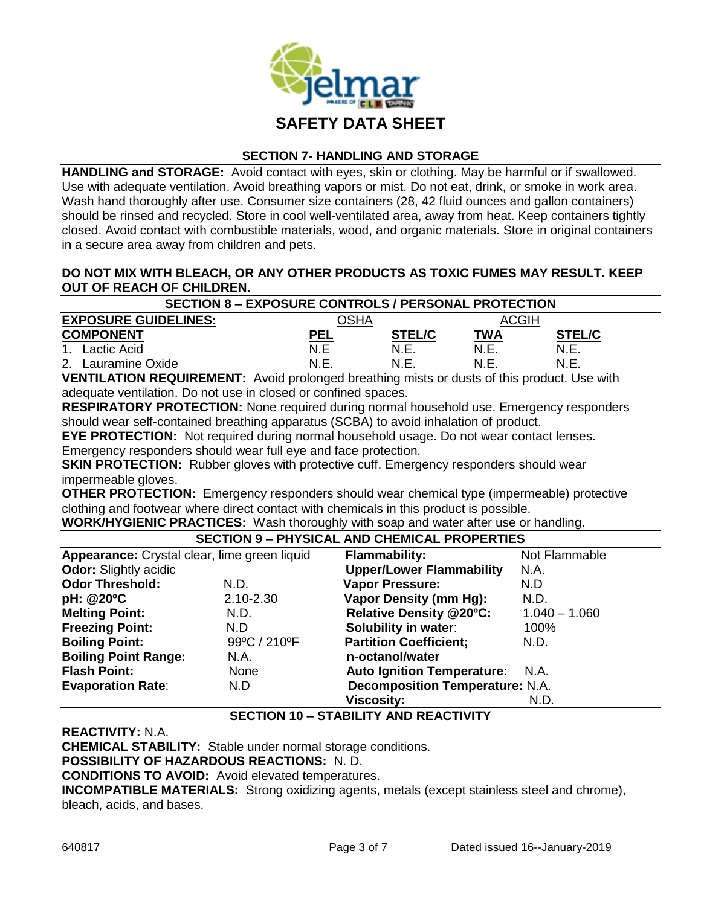

#### **SECTION 7- HANDLING AND STORAGE**

**HANDLING and STORAGE:** Avoid contact with eyes, skin or clothing. May be harmful or if swallowed. Use with adequate ventilation. Avoid breathing vapors or mist. Do not eat, drink, or smoke in work area. Wash hand thoroughly after use. Consumer size containers (28, 42 fluid ounces and gallon containers) should be rinsed and recycled. Store in cool well-ventilated area, away from heat. Keep containers tightly closed. Avoid contact with combustible materials, wood, and organic materials. Store in original containers in a secure area away from children and pets.

## **DO NOT MIX WITH BLEACH, OR ANY OTHER PRODUCTS AS TOXIC FUMES MAY RESULT. KEEP OUT OF REACH OF CHILDREN.**

| <b>SECTION 8 - EXPOSURE CONTROLS / PERSONAL PROTECTION</b> |      |               |            |               |
|------------------------------------------------------------|------|---------------|------------|---------------|
| <b>EXPOSURE GUIDELINES:</b>                                |      | אHA           | ACGIH      |               |
| <b>COMPONENT</b>                                           | PEL  | <b>STEL/C</b> | <u>ТWА</u> | <b>STEL/C</b> |
| Lactic Acid<br>$\mathbf 1$                                 | N.F  | N.E           | N.E        | N.E           |
| 2.<br>Lauramine Oxide                                      | N.E. | N.F           | N.F        | N.F.          |
|                                                            |      |               |            | $\cdots$<br>. |

**VENTILATION REQUIREMENT:** Avoid prolonged breathing mists or dusts of this product. Use with adequate ventilation. Do not use in closed or confined spaces.

**RESPIRATORY PROTECTION:** None required during normal household use. Emergency responders should wear self-contained breathing apparatus (SCBA) to avoid inhalation of product.

**EYE PROTECTION:** Not required during normal household usage. Do not wear contact lenses. Emergency responders should wear full eye and face protection.

**SKIN PROTECTION:** Rubber gloves with protective cuff. Emergency responders should wear impermeable gloves.

**OTHER PROTECTION:** Emergency responders should wear chemical type (impermeable) protective clothing and footwear where direct contact with chemicals in this product is possible.

**WORK/HYGIENIC PRACTICES:** Wash thoroughly with soap and water after use or handling.

#### **SECTION 9 – PHYSICAL AND CHEMICAL PROPERTIES**

| Appearance: Crystal clear, lime green liquid |               | <b>Flammability:</b>                   | Not Flammable   |
|----------------------------------------------|---------------|----------------------------------------|-----------------|
| <b>Odor:</b> Slightly acidic                 |               | <b>Upper/Lower Flammability</b>        | N.A.            |
| <b>Odor Threshold:</b>                       | N.D.          | <b>Vapor Pressure:</b>                 | N.D             |
| pH: @20°C                                    | $2.10 - 2.30$ | <b>Vapor Density (mm Hg):</b>          | N.D.            |
| <b>Melting Point:</b>                        | N.D.          | <b>Relative Density @20°C:</b>         | $1.040 - 1.060$ |
| <b>Freezing Point:</b>                       | N.D           | <b>Solubility in water:</b>            | 100%            |
| <b>Boiling Point:</b>                        | 99°C / 210°F  | <b>Partition Coefficient;</b>          | N.D.            |
| <b>Boiling Point Range:</b>                  | N.A.          | n-octanol/water                        |                 |
| <b>Flash Point:</b>                          | None          | Auto Ignition Temperature: N.A.        |                 |
| <b>Evaporation Rate:</b>                     | N.D           | <b>Decomposition Temperature: N.A.</b> |                 |
|                                              |               | <b>Viscosity:</b>                      | N.D.            |
|                                              |               |                                        |                 |

## **SECTION 10 – STABILITY AND REACTIVITY**

**REACTIVITY:** N.A.

**CHEMICAL STABILITY:** Stable under normal storage conditions.

**POSSIBILITY OF HAZARDOUS REACTIONS:** N. D.

**CONDITIONS TO AVOID:** Avoid elevated temperatures.

**INCOMPATIBLE MATERIALS:** Strong oxidizing agents, metals (except stainless steel and chrome), bleach, acids, and bases.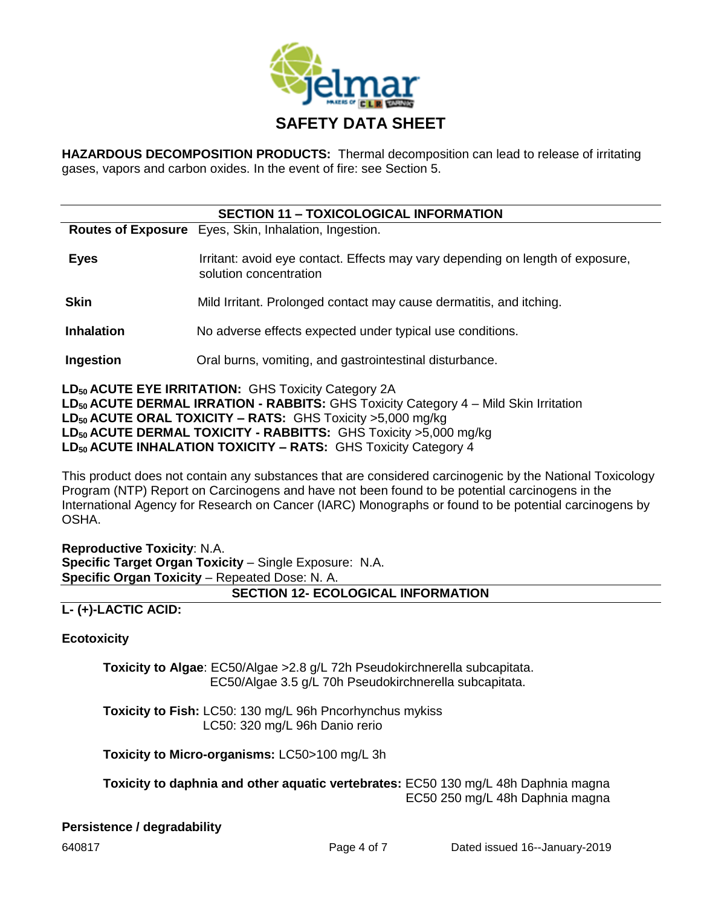

**HAZARDOUS DECOMPOSITION PRODUCTS:** Thermal decomposition can lead to release of irritating gases, vapors and carbon oxides. In the event of fire: see Section 5.

| <b>SECTION 11 - TOXICOLOGICAL INFORMATION</b> |                                                                                                          |  |  |
|-----------------------------------------------|----------------------------------------------------------------------------------------------------------|--|--|
|                                               | Routes of Exposure Eyes, Skin, Inhalation, Ingestion.                                                    |  |  |
| <b>Eyes</b>                                   | Irritant: avoid eye contact. Effects may vary depending on length of exposure,<br>solution concentration |  |  |
| <b>Skin</b>                                   | Mild Irritant. Prolonged contact may cause dermatitis, and itching.                                      |  |  |
| <b>Inhalation</b>                             | No adverse effects expected under typical use conditions.                                                |  |  |
| Ingestion                                     | Oral burns, vomiting, and gastrointestinal disturbance.                                                  |  |  |

**LD<sup>50</sup> ACUTE EYE IRRITATION:** GHS Toxicity Category 2A **LD<sup>50</sup> ACUTE DERMAL IRRATION - RABBITS:** GHS Toxicity Category 4 – Mild Skin Irritation **LD<sup>50</sup> ACUTE ORAL TOXICITY – RATS:** GHS Toxicity >5,000 mg/kg **LD<sup>50</sup> ACUTE DERMAL TOXICITY - RABBITTS:** GHS Toxicity >5,000 mg/kg **LD50 ACUTE INHALATION TOXICITY – RATS:** GHS Toxicity Category 4

This product does not contain any substances that are considered carcinogenic by the National Toxicology Program (NTP) Report on Carcinogens and have not been found to be potential carcinogens in the International Agency for Research on Cancer (IARC) Monographs or found to be potential carcinogens by OSHA.

**Reproductive Toxicity**: N.A. **Specific Target Organ Toxicity** – Single Exposure: N.A. **Specific Organ Toxicity** – Repeated Dose: N. A.

## **SECTION 12- ECOLOGICAL INFORMATION**

**L- (+)-LACTIC ACID:**

**Ecotoxicity** 

**Toxicity to Algae**: EC50/Algae >2.8 g/L 72h Pseudokirchnerella subcapitata. EC50/Algae 3.5 g/L 70h Pseudokirchnerella subcapitata.

**Toxicity to Fish:** LC50: 130 mg/L 96h Pncorhynchus mykiss LC50: 320 mg/L 96h Danio rerio

**Toxicity to Micro-organisms:** LC50>100 mg/L 3h

**Toxicity to daphnia and other aquatic vertebrates:** EC50 130 mg/L 48h Daphnia magna EC50 250 mg/L 48h Daphnia magna

## **Persistence / degradability**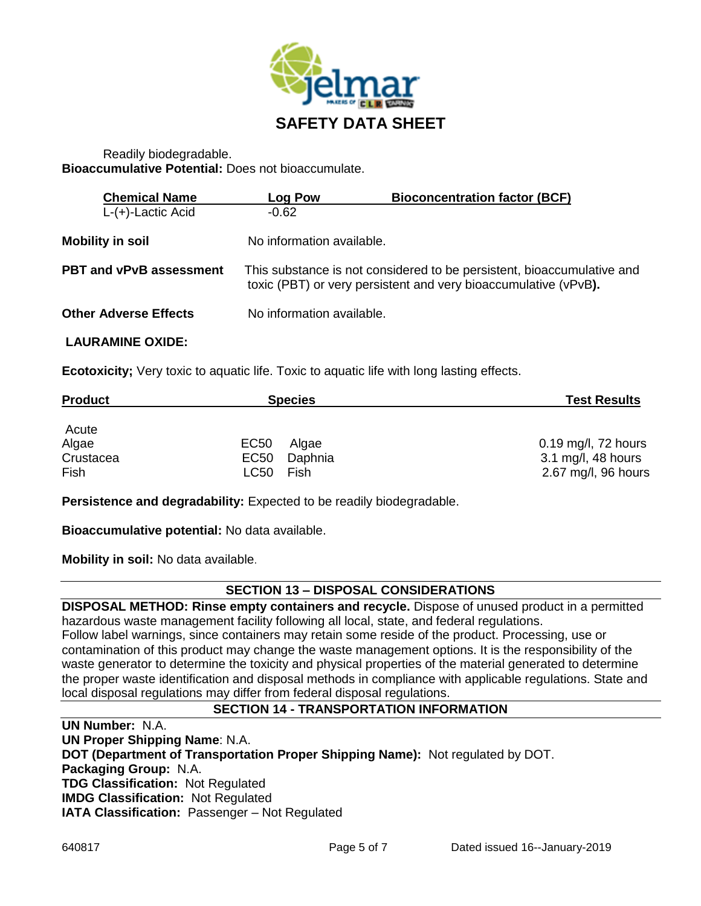

## Readily biodegradable. **Bioaccumulative Potential:** Does not bioaccumulate.

| <b>Chemical Name</b>           | Log Pow                   | <b>Bioconcentration factor (BCF)</b>                                                                                                      |
|--------------------------------|---------------------------|-------------------------------------------------------------------------------------------------------------------------------------------|
| $L-(+)$ -Lactic Acid           | $-0.62$                   |                                                                                                                                           |
| <b>Mobility in soil</b>        | No information available. |                                                                                                                                           |
| <b>PBT and vPvB assessment</b> |                           | This substance is not considered to be persistent, bioaccumulative and<br>toxic (PBT) or very persistent and very bioaccumulative (vPvB). |
| <b>Other Adverse Effects</b>   | No information available. |                                                                                                                                           |

## **LAURAMINE OXIDE:**

**Ecotoxicity;** Very toxic to aquatic life. Toxic to aquatic life with long lasting effects.

| <b>Product</b> | <b>Species</b>            | <b>Test Results</b>   |
|----------------|---------------------------|-----------------------|
| Acute          |                           |                       |
| Algae          | EC <sub>50</sub><br>Algae | $0.19$ mg/l, 72 hours |
| Crustacea      | EC50<br>Daphnia           | 3.1 mg/l, 48 hours    |
| Fish           | LC50<br>Fish              | 2.67 mg/l, 96 hours   |

**Persistence and degradability:** Expected to be readily biodegradable.

**Bioaccumulative potential:** No data available.

**Mobility in soil:** No data available.

## **SECTION 13 – DISPOSAL CONSIDERATIONS**

**DISPOSAL METHOD: Rinse empty containers and recycle.** Dispose of unused product in a permitted hazardous waste management facility following all local, state, and federal regulations. Follow label warnings, since containers may retain some reside of the product. Processing, use or contamination of this product may change the waste management options. It is the responsibility of the

waste generator to determine the toxicity and physical properties of the material generated to determine the proper waste identification and disposal methods in compliance with applicable regulations. State and local disposal regulations may differ from federal disposal regulations.

## **SECTION 14 - TRANSPORTATION INFORMATION**

**UN Number:** N.A. **UN Proper Shipping Name**: N.A. **DOT (Department of Transportation Proper Shipping Name):** Not regulated by DOT. **Packaging Group:** N.A. **TDG Classification:** Not Regulated **IMDG Classification:** Not Regulated **IATA Classification:** Passenger – Not Regulated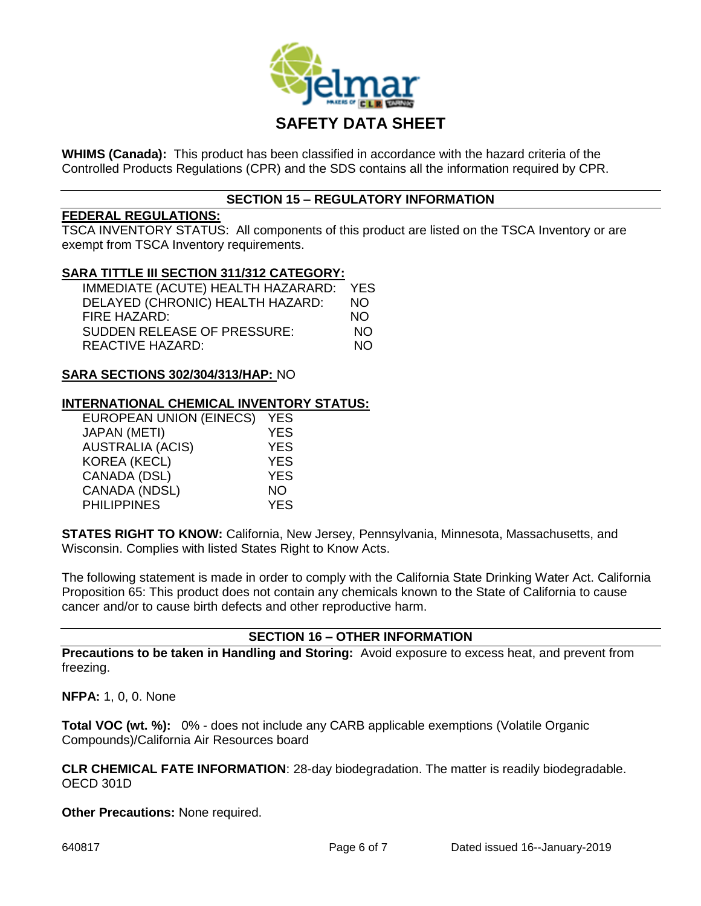

**WHIMS (Canada):** This product has been classified in accordance with the hazard criteria of the Controlled Products Regulations (CPR) and the SDS contains all the information required by CPR.

## **SECTION 15 – REGULATORY INFORMATION**

#### **FEDERAL REGULATIONS:**

TSCA INVENTORY STATUS: All components of this product are listed on the TSCA Inventory or are exempt from TSCA Inventory requirements.

#### **SARA TITTLE III SECTION 311/312 CATEGORY:**

| IMMEDIATE (ACUTE) HEALTH HAZARARD: | <b>YES</b> |
|------------------------------------|------------|
| DELAYED (CHRONIC) HEALTH HAZARD:   | NO.        |
| FIRE HAZARD:                       | NO.        |
| <b>SUDDEN RELEASE OF PRESSURE:</b> | NΩ         |
| REACTIVE HAZARD:                   | NΩ         |

#### **SARA SECTIONS 302/304/313/HAP:** NO

#### **INTERNATIONAL CHEMICAL INVENTORY STATUS:**

| <b>EUROPEAN UNION (EINECS)</b> | <b>YES</b> |
|--------------------------------|------------|
| <b>JAPAN (METI)</b>            | <b>YES</b> |
| <b>AUSTRALIA (ACIS)</b>        | <b>YES</b> |
| KOREA (KECL)                   | <b>YES</b> |
| CANADA (DSL)                   | <b>YES</b> |
| CANADA (NDSL)                  | NΟ         |
| <b>PHILIPPINES</b>             | <b>YES</b> |

**STATES RIGHT TO KNOW:** California, New Jersey, Pennsylvania, Minnesota, Massachusetts, and Wisconsin. Complies with listed States Right to Know Acts.

The following statement is made in order to comply with the California State Drinking Water Act. California Proposition 65: This product does not contain any chemicals known to the State of California to cause cancer and/or to cause birth defects and other reproductive harm.

#### **SECTION 16 – OTHER INFORMATION**

**Precautions to be taken in Handling and Storing:** Avoid exposure to excess heat, and prevent from freezing.

**NFPA:** 1, 0, 0. None

**Total VOC (wt. %):** 0% - does not include any CARB applicable exemptions (Volatile Organic Compounds)/California Air Resources board

**CLR CHEMICAL FATE INFORMATION**: 28-day biodegradation. The matter is readily biodegradable. OECD 301D

**Other Precautions:** None required.